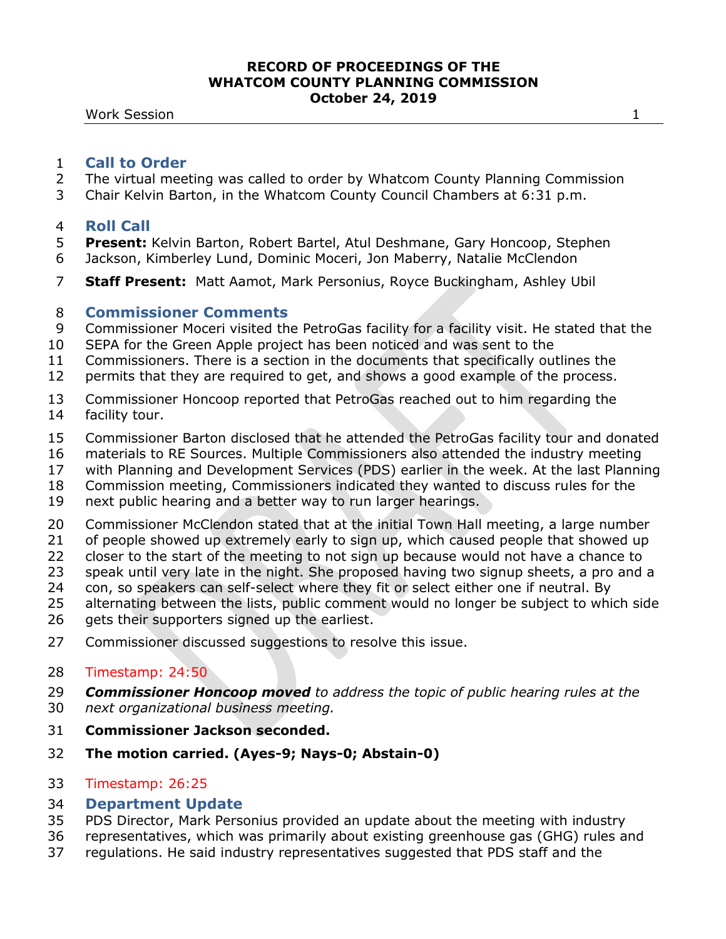**Work Session 1** 

## **Call to Order**

- The virtual meeting was called to order by Whatcom County Planning Commission
- Chair Kelvin Barton, in the Whatcom County Council Chambers at 6:31 p.m.

## **Roll Call**

- **Present:** Kelvin Barton, Robert Bartel, Atul Deshmane, Gary Honcoop, Stephen
- Jackson, Kimberley Lund, Dominic Moceri, Jon Maberry, Natalie McClendon
- **Staff Present:** Matt Aamot, Mark Personius, Royce Buckingham, Ashley Ubil

## **Commissioner Comments**

- Commissioner Moceri visited the PetroGas facility for a facility visit. He stated that the
- SEPA for the Green Apple project has been noticed and was sent to the
- Commissioners. There is a section in the documents that specifically outlines the
- permits that they are required to get, and shows a good example of the process.
- Commissioner Honcoop reported that PetroGas reached out to him regarding the facility tour.
- Commissioner Barton disclosed that he attended the PetroGas facility tour and donated
- materials to RE Sources. Multiple Commissioners also attended the industry meeting
- with Planning and Development Services (PDS) earlier in the week. At the last Planning
- Commission meeting, Commissioners indicated they wanted to discuss rules for the
- next public hearing and a better way to run larger hearings.
- Commissioner McClendon stated that at the initial Town Hall meeting, a large number
- of people showed up extremely early to sign up, which caused people that showed up
- closer to the start of the meeting to not sign up because would not have a chance to
- speak until very late in the night. She proposed having two signup sheets, a pro and a
- con, so speakers can self-select where they fit or select either one if neutral. By
- alternating between the lists, public comment would no longer be subject to which side
- 26 gets their supporters signed up the earliest.
- Commissioner discussed suggestions to resolve this issue.

## Timestamp: 24:50

- *Commissioner Honcoop moved to address the topic of public hearing rules at the*
- *next organizational business meeting.*
- **Commissioner Jackson seconded.**
- **The motion carried. (Ayes-9; Nays-0; Abstain-0)**

## Timestamp: 26:25

# **Department Update**

- PDS Director, Mark Personius provided an update about the meeting with industry
- representatives, which was primarily about existing greenhouse gas (GHG) rules and
- regulations. He said industry representatives suggested that PDS staff and the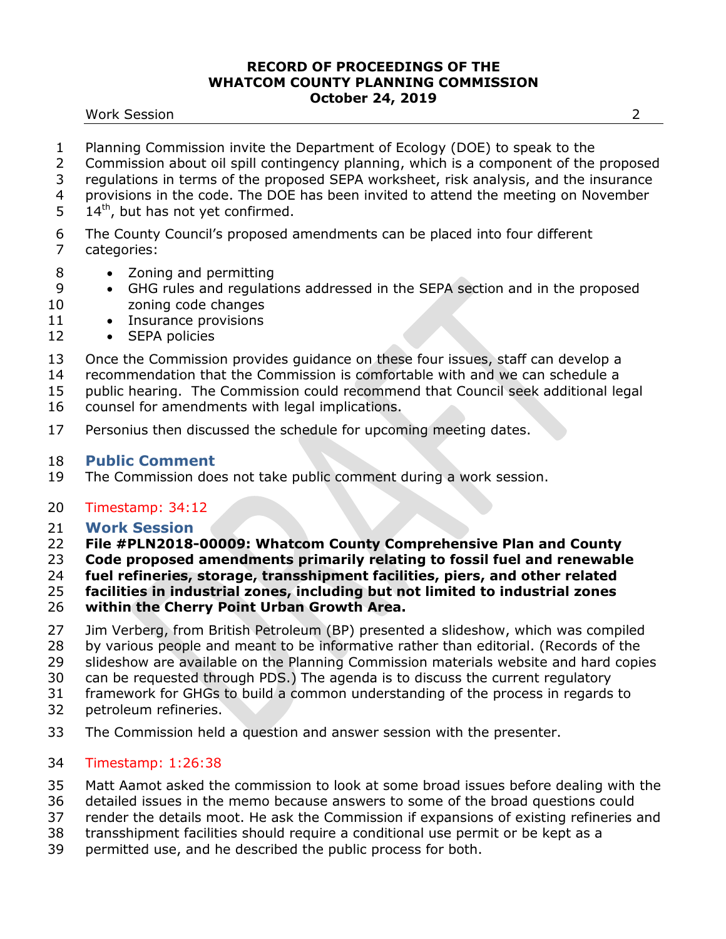#### Work Session 2

- Planning Commission invite the Department of Ecology (DOE) to speak to the
- Commission about oil spill contingency planning, which is a component of the proposed
- regulations in terms of the proposed SEPA worksheet, risk analysis, and the insurance provisions in the code. The DOE has been invited to attend the meeting on November
- 
- $5 \t14<sup>th</sup>$ , but has not yet confirmed.
- The County Council's proposed amendments can be placed into four different categories:
- 8 Zoning and permitting
- GHG rules and regulations addressed in the SEPA section and in the proposed zoning code changes
- 11 Insurance provisions
- 12 SEPA policies
- Once the Commission provides guidance on these four issues, staff can develop a
- recommendation that the Commission is comfortable with and we can schedule a
- public hearing. The Commission could recommend that Council seek additional legal
- counsel for amendments with legal implications.
- 17 Personius then discussed the schedule for upcoming meeting dates.

# **Public Comment**

The Commission does not take public comment during a work session.

# Timestamp: 34:12

- **Work Session**
- **File #PLN2018-00009: Whatcom County Comprehensive Plan and County**
- **Code proposed amendments primarily relating to fossil fuel and renewable**
- **fuel refineries, storage, transshipment facilities, piers, and other related**
- **facilities in industrial zones, including but not limited to industrial zones**
- **within the Cherry Point Urban Growth Area.**
- Jim Verberg, from British Petroleum (BP) presented a slideshow, which was compiled by various people and meant to be informative rather than editorial. (Records of the
- slideshow are available on the Planning Commission materials website and hard copies
- can be requested through PDS.) The agenda is to discuss the current regulatory
- framework for GHGs to build a common understanding of the process in regards to
- petroleum refineries.
- The Commission held a question and answer session with the presenter.
- Timestamp: 1:26:38
- Matt Aamot asked the commission to look at some broad issues before dealing with the
- detailed issues in the memo because answers to some of the broad questions could
- render the details moot. He ask the Commission if expansions of existing refineries and
- transshipment facilities should require a conditional use permit or be kept as a
- permitted use, and he described the public process for both.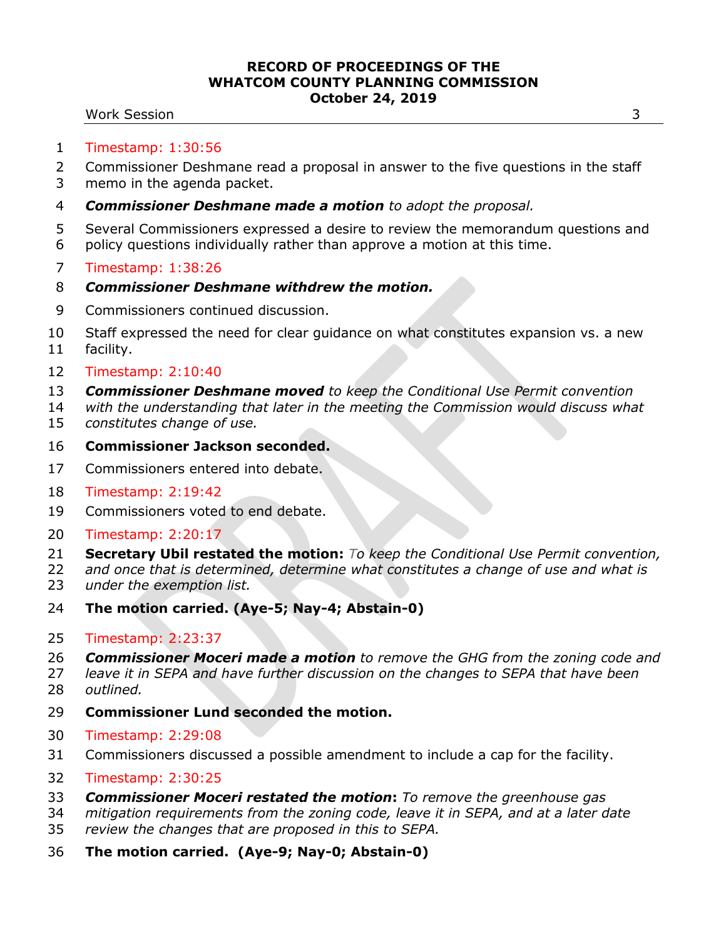### Work Session 3

- Timestamp: 1:30:56
- Commissioner Deshmane read a proposal in answer to the five questions in the staff
- memo in the agenda packet.
- *Commissioner Deshmane made a motion to adopt the proposal.*
- Several Commissioners expressed a desire to review the memorandum questions and policy questions individually rather than approve a motion at this time.
- Timestamp: 1:38:26
- *Commissioner Deshmane withdrew the motion.*
- Commissioners continued discussion.
- Staff expressed the need for clear guidance on what constitutes expansion vs. a new facility.
- Timestamp: 2:10:40
- *Commissioner Deshmane moved to keep the Conditional Use Permit convention*
- *with the understanding that later in the meeting the Commission would discuss what constitutes change of use.*
- **Commissioner Jackson seconded.**
- Commissioners entered into debate.
- Timestamp: 2:19:42
- Commissioners voted to end debate.
- Timestamp: 2:20:17
- **Secretary Ubil restated the motion:** *To keep the Conditional Use Permit convention,*
- *and once that is determined, determine what constitutes a change of use and what is*
- *under the exemption list.*
- **The motion carried. (Aye-5; Nay-4; Abstain-0)**
- Timestamp: 2:23:37
- *Commissioner Moceri made a motion to remove the GHG from the zoning code and*
- *leave it in SEPA and have further discussion on the changes to SEPA that have been*
- *outlined.*
- **Commissioner Lund seconded the motion.**
- Timestamp: 2:29:08
- Commissioners discussed a possible amendment to include a cap for the facility.
- Timestamp: 2:30:25
- *Commissioner Moceri restated the motion***:** *To remove the greenhouse gas*
- *mitigation requirements from the zoning code, leave it in SEPA, and at a later date review the changes that are proposed in this to SEPA.*
- **The motion carried. (Aye-9; Nay-0; Abstain-0)**